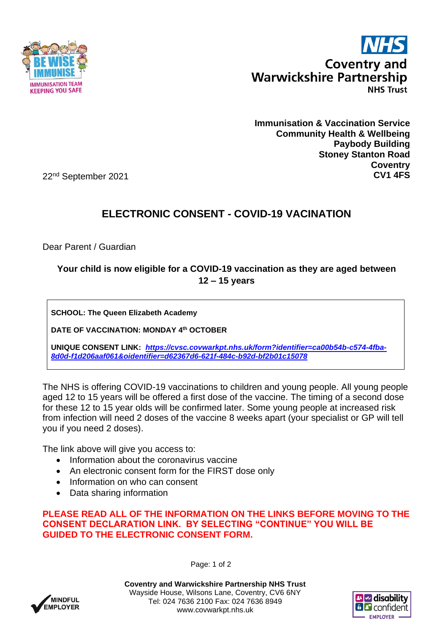



**Immunisation & Vaccination Service Community Health & Wellbeing Paybody Building Stoney Stanton Road Coventry CV1 4FS**

22nd September 2021

## **ELECTRONIC CONSENT - COVID-19 VACINATION**

Dear Parent / Guardian

## **Your child is now eligible for a COVID-19 vaccination as they are aged between 12 – 15 years**

**SCHOOL: The Queen Elizabeth Academy**

**DATE OF VACCINATION: MONDAY 4 th OCTOBER**

**UNIQUE CONSENT LINK:** *[https://cvsc.covwarkpt.nhs.uk/form?identifier=ca00b54b-c574-4fba-](https://cvsc.covwarkpt.nhs.uk/form?identifier=ca00b54b-c574-4fba-8d0d-f1d206aaf061&oidentifier=d62367d6-621f-484c-b92d-bf2b01c15078)[8d0d-f1d206aaf061&oidentifier=d62367d6-621f-484c-b92d-bf2b01c15078](https://cvsc.covwarkpt.nhs.uk/form?identifier=ca00b54b-c574-4fba-8d0d-f1d206aaf061&oidentifier=d62367d6-621f-484c-b92d-bf2b01c15078)*

The NHS is offering COVID-19 vaccinations to children and young people. All young people aged 12 to 15 years will be offered a first dose of the vaccine. The timing of a second dose for these 12 to 15 year olds will be confirmed later. Some young people at increased risk from infection will need 2 doses of the vaccine 8 weeks apart (your specialist or GP will tell you if you need 2 doses).

The link above will give you access to:

- Information about the coronavirus vaccine
- An electronic consent form for the FIRST dose only
- Information on who can consent
- Data sharing information

**PLEASE READ ALL OF THE INFORMATION ON THE LINKS BEFORE MOVING TO THE CONSENT DECLARATION LINK. BY SELECTING "CONTINUE" YOU WILL BE GUIDED TO THE ELECTRONIC CONSENT FORM.**

**MINDEUL EMPLOYER**  Page: 1 of 2

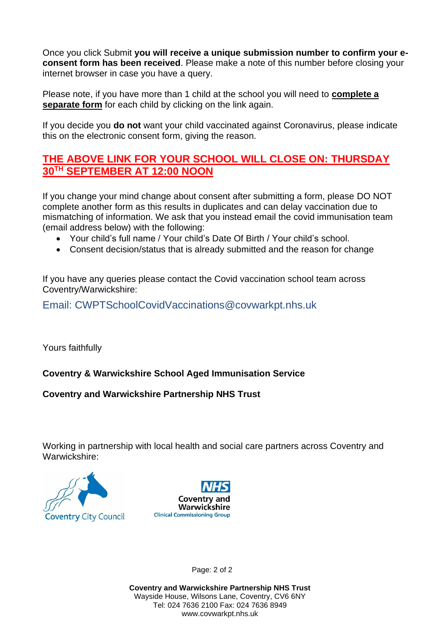Once you click Submit **you will receive a unique submission number to confirm your econsent form has been received**. Please make a note of this number before closing your internet browser in case you have a query.

Please note, if you have more than 1 child at the school you will need to **complete a separate form** for each child by clicking on the link again.

If you decide you **do not** want your child vaccinated against Coronavirus, please indicate this on the electronic consent form, giving the reason.

## **THE ABOVE LINK FOR YOUR SCHOOL WILL CLOSE ON: THURSDAY 30TH SEPTEMBER AT 12:00 NOON**

If you change your mind change about consent after submitting a form, please DO NOT complete another form as this results in duplicates and can delay vaccination due to mismatching of information. We ask that you instead email the covid immunisation team (email address below) with the following:

- Your child's full name / Your child's Date Of Birth / Your child's school.
- Consent decision/status that is already submitted and the reason for change

If you have any queries please contact the Covid vaccination school team across Coventry/Warwickshire:

Email: CWPTSchoolCovidVaccinations@covwarkpt.nhs.uk

Yours faithfully

## **Coventry & Warwickshire School Aged Immunisation Service**

**Coventry and Warwickshire Partnership NHS Trust**

Working in partnership with local health and social care partners across Coventry and Warwickshire:





Page: 2 of 2

**Coventry and Warwickshire Partnership NHS Trust** Wayside House, Wilsons Lane, Coventry, CV6 6NY Tel: 024 7636 2100 Fax: 024 7636 8949 www.covwarkpt.nhs.uk